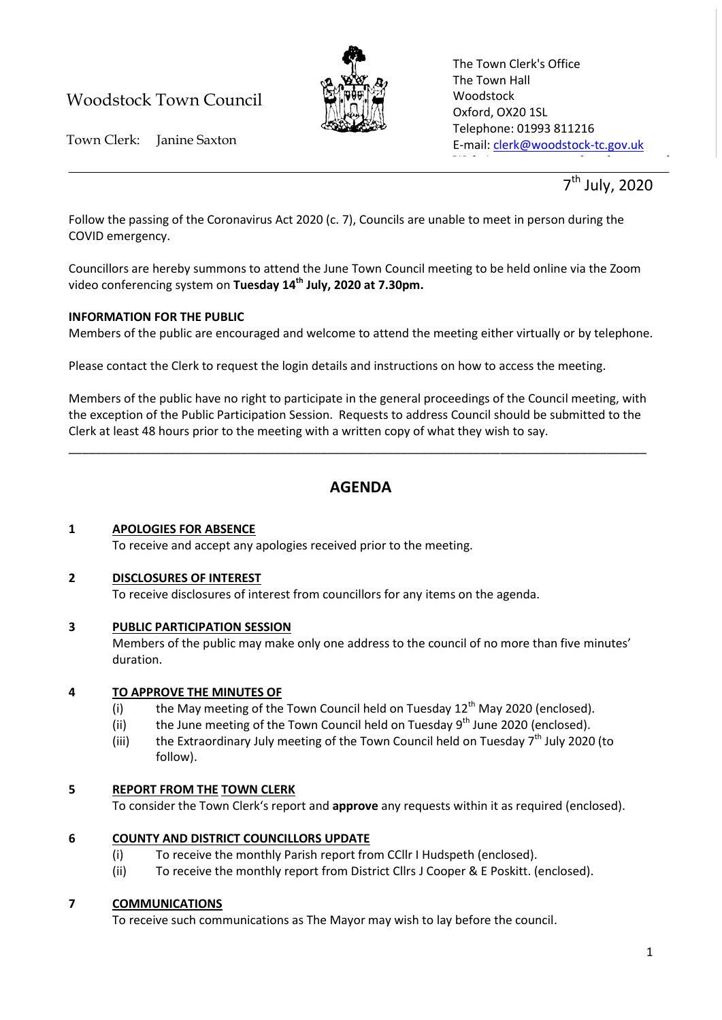# Woodstock Town Council



The Town Clerk's Office The Town Hall Woodstock Oxford, OX20 1SL Telephone: 01993 811216 E-mail: [clerk@woodstock-tc.gov.uk](mailto:clerk@woodstock-tc.gov.uk)

website: www.woodstock-tc.gov.uk<br>http://www.woodstock-tc.gov.uk

Town Clerk: Janine Saxton

7<sup>th</sup> July, 2020

Follow the passing of the Coronavirus Act 2020 (c. 7), Councils are unable to meet in person during the COVID emergency.

Councillors are hereby summons to attend the June Town Council meeting to be held online via the Zoom video conferencing system on **Tuesday 14th July, 2020 at 7.30pm.**

# **INFORMATION FOR THE PUBLIC**

Members of the public are encouraged and welcome to attend the meeting either virtually or by telephone.

Please contact the Clerk to request the login details and instructions on how to access the meeting.

Members of the public have no right to participate in the general proceedings of the Council meeting, with the exception of the Public Participation Session. Requests to address Council should be submitted to the Clerk at least 48 hours prior to the meeting with a written copy of what they wish to say.

\_\_\_\_\_\_\_\_\_\_\_\_\_\_\_\_\_\_\_\_\_\_\_\_\_\_\_\_\_\_\_\_\_\_\_\_\_\_\_\_\_\_\_\_\_\_\_\_\_\_\_\_\_\_\_\_\_\_\_\_\_\_\_\_\_\_\_\_\_\_\_\_\_\_\_\_\_\_\_\_\_\_\_\_\_\_\_

# **AGENDA**

# **1 APOLOGIES FOR ABSENCE**

To receive and accept any apologies received prior to the meeting.

# **2 DISCLOSURES OF INTEREST**

To receive disclosures of interest from councillors for any items on the agenda.

# **3 PUBLIC PARTICIPATION SESSION**

Members of the public may make only one address to the council of no more than five minutes' duration.

# **4 TO APPROVE THE MINUTES OF**

- (i) the May meeting of the Town Council held on Tuesday  $12<sup>th</sup>$  May 2020 (enclosed).
- (ii) the June meeting of the Town Council held on Tuesday  $9<sup>th</sup>$  June 2020 (enclosed).
- (iii) the Extraordinary July meeting of the Town Council held on Tuesday  $7<sup>th</sup>$  July 2020 (to follow).

# **5 REPORT FROM THE TOWN CLERK**

To consider the Town Clerk's report and **approve** any requests within it as required (enclosed).

# **6 COUNTY AND DISTRICT COUNCILLORS UPDATE**

- (i) To receive the monthly Parish report from CCllr I Hudspeth (enclosed).
- (ii) To receive the monthly report from District Cllrs J Cooper & E Poskitt. (enclosed).

# **7 COMMUNICATIONS**

To receive such communications as The Mayor may wish to lay before the council.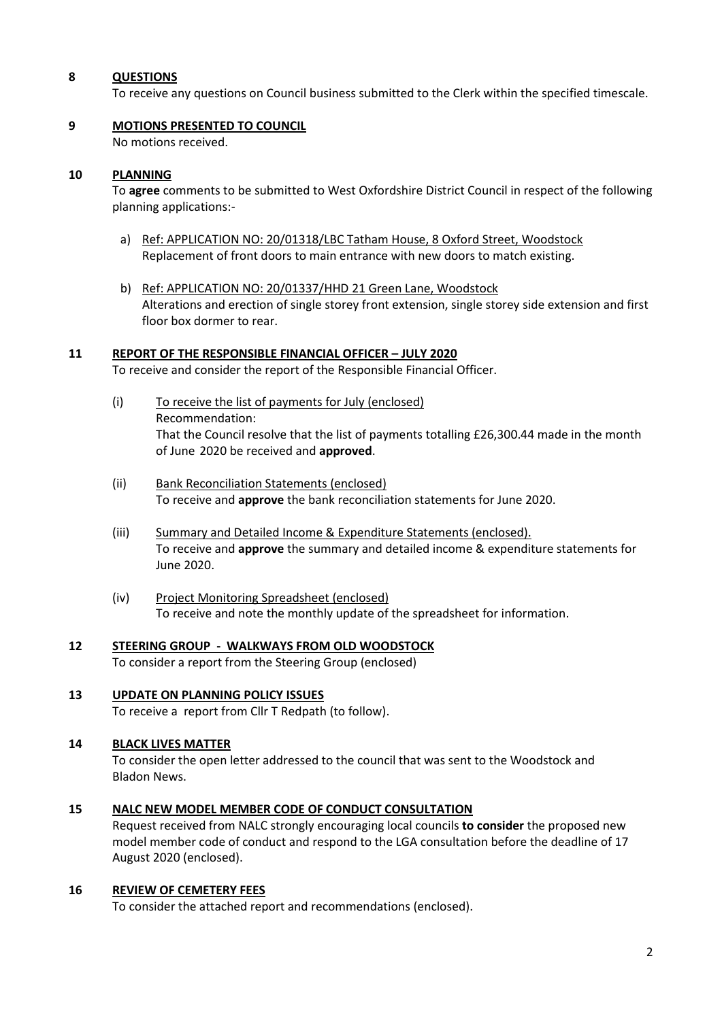#### **8 QUESTIONS**

To receive any questions on Council business submitted to the Clerk within the specified timescale.

# **9 MOTIONS PRESENTED TO COUNCIL**

No motions received.

#### **10 PLANNING**

To **agree** comments to be submitted to West Oxfordshire District Council in respect of the following planning applications:-

- a) Ref: APPLICATION NO: 20/01318/LBC Tatham House, 8 Oxford Street, Woodstock Replacement of front doors to main entrance with new doors to match existing.
- b) Ref: APPLICATION NO: 20/01337/HHD 21 Green Lane, Woodstock Alterations and erection of single storey front extension, single storey side extension and first floor box dormer to rear.

#### **11 REPORT OF THE RESPONSIBLE FINANCIAL OFFICER – JULY 2020**

To receive and consider the report of the Responsible Financial Officer.

- (i) To receive the list of payments for July (enclosed) Recommendation: That the Council resolve that the list of payments totalling £26,300.44 made in the month of June 2020 be received and **approved**.
- (ii) Bank Reconciliation Statements (enclosed) To receive and **approve** the bank reconciliation statements for June 2020.
- (iii) Summary and Detailed Income & Expenditure Statements (enclosed). To receive and **approve** the summary and detailed income & expenditure statements for June 2020.
- (iv) Project Monitoring Spreadsheet (enclosed) To receive and note the monthly update of the spreadsheet for information.

#### **12 STEERING GROUP - WALKWAYS FROM OLD WOODSTOCK** To consider a report from the Steering Group (enclosed)

# **13 UPDATE ON PLANNING POLICY ISSUES**

To receive a report from Cllr T Redpath (to follow).

# **14 BLACK LIVES MATTER**

To consider the open letter addressed to the council that was sent to the Woodstock and Bladon News.

# **15 NALC NEW MODEL MEMBER CODE OF CONDUCT CONSULTATION**

Request received from NALC strongly encouraging local councils **to consider** the proposed new model member code of conduct and respond to the LGA consultation before the deadline of 17 August 2020 (enclosed).

# **16 REVIEW OF CEMETERY FEES**

To consider the attached report and recommendations (enclosed).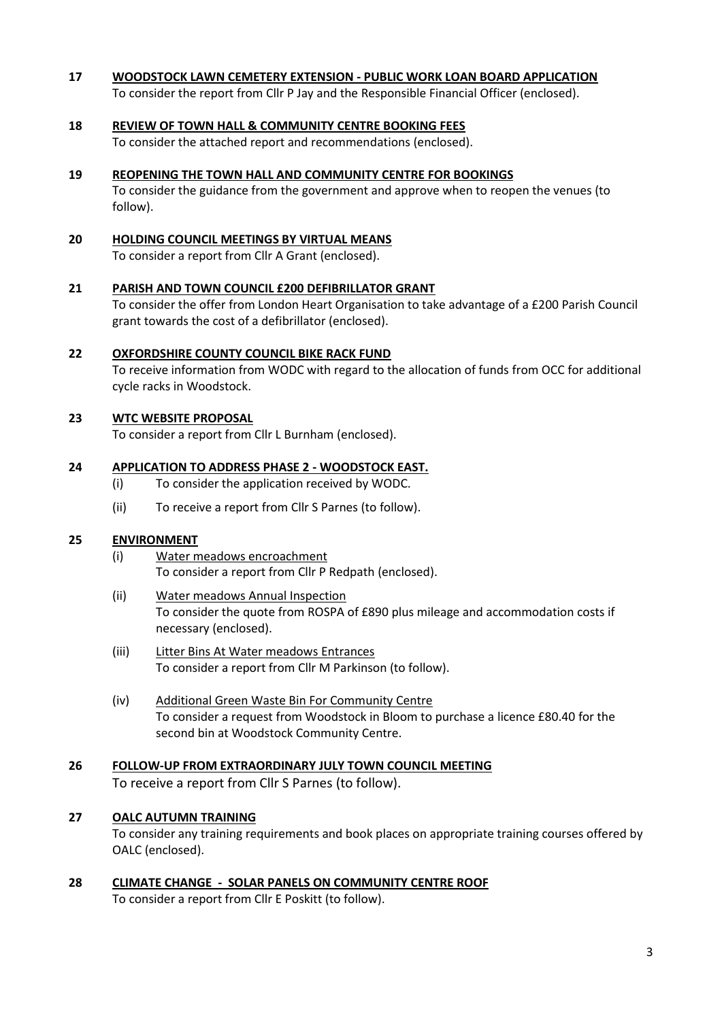#### **17 WOODSTOCK LAWN CEMETERY EXTENSION - PUBLIC WORK LOAN BOARD APPLICATION**

To consider the report from Cllr P Jay and the Responsible Financial Officer (enclosed).

#### **18 REVIEW OF TOWN HALL & COMMUNITY CENTRE BOOKING FEES**

To consider the attached report and recommendations (enclosed).

#### **19 REOPENING THE TOWN HALL AND COMMUNITY CENTRE FOR BOOKINGS**

To consider the guidance from the government and approve when to reopen the venues (to follow).

#### **20 HOLDING COUNCIL MEETINGS BY VIRTUAL MEANS**

To consider a report from Cllr A Grant (enclosed).

#### **21 PARISH AND TOWN COUNCIL £200 DEFIBRILLATOR GRANT**

To consider the offer from London Heart Organisation to take advantage of a £200 Parish Council grant towards the cost of a defibrillator (enclosed).

#### **22 OXFORDSHIRE COUNTY COUNCIL BIKE RACK FUND**

To receive information from WODC with regard to the allocation of funds from OCC for additional cycle racks in Woodstock.

#### **23 WTC WEBSITE PROPOSAL**

To consider a report from Cllr L Burnham (enclosed).

#### **24 APPLICATION TO ADDRESS PHASE 2 - WOODSTOCK EAST.**

- (i) To consider the application received by WODC.
- (ii) To receive a report from Cllr S Parnes (to follow).

### **25 ENVIRONMENT**

- (i) Water meadows encroachment To consider a report from Cllr P Redpath (enclosed).
- (ii) Water meadows Annual Inspection To consider the quote from ROSPA of £890 plus mileage and accommodation costs if necessary (enclosed).
- (iii) Litter Bins At Water meadows Entrances To consider a report from Cllr M Parkinson (to follow).
- (iv) Additional Green Waste Bin For Community Centre To consider a request from Woodstock in Bloom to purchase a licence £80.40 for the second bin at Woodstock Community Centre.

# **26 FOLLOW-UP FROM EXTRAORDINARY JULY TOWN COUNCIL MEETING** To receive a report from Cllr S Parnes (to follow).

#### **27 OALC AUTUMN TRAINING**

To consider any training requirements and book places on appropriate training courses offered by OALC (enclosed).

**28 CLIMATE CHANGE - SOLAR PANELS ON COMMUNITY CENTRE ROOF** To consider a report from Cllr E Poskitt (to follow).